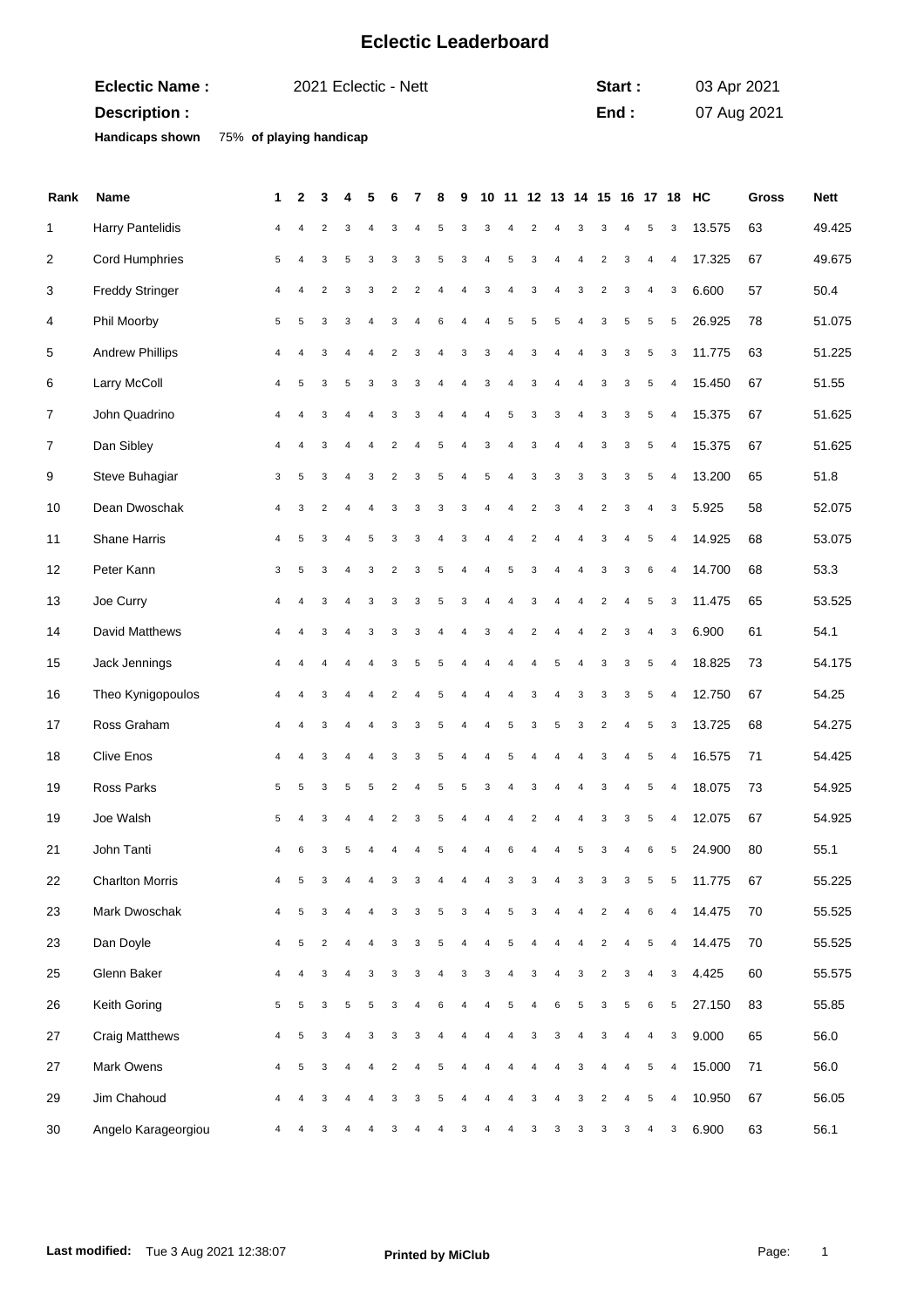## **Eclectic Leaderboard**

| <b>Eclectic Name:</b>  | 2021 Eclectic - Nett    | Start: | 03 Apr 2021 |
|------------------------|-------------------------|--------|-------------|
| Description :          |                         | End :  | 07 Aug 2021 |
| <b>Handicaps shown</b> | 75% of playing handicap |        |             |

| Rank | <b>Name</b>            | 1              | 2              | 3                       |                | 5              |                | 7              | 8              | 9 | 10                      |                |                         | 11 12 13 14 15 16 |                |                         |                |                         |                | 17 18 HC       | Gross | Nett   |
|------|------------------------|----------------|----------------|-------------------------|----------------|----------------|----------------|----------------|----------------|---|-------------------------|----------------|-------------------------|-------------------|----------------|-------------------------|----------------|-------------------------|----------------|----------------|-------|--------|
| 1    | Harry Pantelidis       | 4              |                | 2                       | 3              | 4              | 3              | $\overline{4}$ | 5              | 3 | 3                       | 4              | 2                       | 4                 | 3              | 3                       | 4              | 5                       | 3              | 13.575         | 63    | 49.425 |
| 2    | Cord Humphries         | 5              |                | 3                       | 5              | 3              | 3              | 3              | 5              | 3 | 4                       | 5              | 3                       | 4                 | 4              | 2                       | 3              | $\overline{4}$          | $\overline{4}$ | 17.325         | 67    | 49.675 |
| 3    | <b>Freddy Stringer</b> | 4              | $\overline{4}$ | $\overline{2}$          | 3              | 3              | $\overline{2}$ | $\overline{2}$ | 4              | 4 | 3                       | $\overline{4}$ | 3                       | $\overline{4}$    | 3              | $\overline{2}$          | 3              | 4                       | 3              | 6.600          | 57    | 50.4   |
| 4    | Phil Moorby            | 5              | 5              | 3                       | 3              | $\overline{4}$ | 3              | $\overline{4}$ | 6              | 4 | 4                       | 5              | 5                       | 5                 | 4              | 3                       | 5              | $\sqrt{5}$              | 5              | 26.925         | 78    | 51.075 |
| 5    | <b>Andrew Phillips</b> | 4              |                | 3                       | $\overline{4}$ | $\overline{4}$ | $\overline{2}$ | 3              |                | 3 | 3                       | $\overline{4}$ | 3                       | 4                 | 4              | 3                       | 3              | 5                       | 3              | 11.775         | 63    | 51.225 |
| 6    | Larry McColl           | 4              | 5              | 3                       | 5              | 3              | 3              | 3              | $\overline{4}$ | 4 | 3                       | $\overline{4}$ | 3                       | $\overline{4}$    | 4              | 3                       | 3              | $\sqrt{5}$              | $\overline{4}$ | 15.450         | 67    | 51.55  |
| 7    | John Quadrino          | 4              |                | 3                       | 4              | 4              | 3              | 3              |                | 4 | 4                       | 5              | 3                       | 3                 | 4              | 3                       | 3              | $\sqrt{5}$              | 4              | 15.375         | 67    | 51.625 |
| 7    | Dan Sibley             | 4              |                | 3                       | $\overline{4}$ | $\overline{4}$ | $\overline{2}$ | $\overline{4}$ | 5              | 4 | 3                       | $\overline{4}$ | 3                       | 4                 | 4              | 3                       | 3              | 5                       | $\overline{4}$ | 15.375         | 67    | 51.625 |
| 9    | Steve Buhagiar         | 3              | 5              | 3                       | $\overline{4}$ | 3              | $\overline{2}$ | 3              | 5              | 4 | 5                       | $\overline{4}$ | 3                       | 3                 | 3              | 3                       | 3              | $\sqrt{5}$              | $\overline{4}$ | 13.200         | 65    | 51.8   |
| 10   | Dean Dwoschak          | 4              | 3              | $\overline{2}$          | $\overline{4}$ | 4              | 3              | 3              | 3              | 3 | 4                       | 4              | $\overline{\mathbf{c}}$ | 3                 | 4              | $\overline{2}$          | 3              | $\overline{\mathbf{4}}$ | 3              | 5.925          | 58    | 52.075 |
| 11   | Shane Harris           | $\overline{4}$ | 5              | 3                       | 4              | 5              | 3              | 3              | 4              | 3 | $\overline{\mathbf{4}}$ | $\overline{4}$ | $\overline{2}$          | 4                 | 4              | 3                       | $\overline{4}$ | 5                       | $\overline{4}$ | 14.925         | 68    | 53.075 |
| 12   | Peter Kann             | 3              | 5              | 3                       | $\overline{4}$ | 3              | $\overline{2}$ | 3              | 5              | 4 | 4                       | 5              | 3                       | $\overline{4}$    | $\overline{4}$ | 3                       | 3              | 6                       | $\overline{4}$ | 14.700         | 68    | 53.3   |
| 13   | Joe Curry              | 4              |                | 3                       | 4              | 3              | 3              | 3              | 5              | 3 | 4                       | 4              | 3                       | $\overline{4}$    | 4              | $\overline{2}$          | 4              | $\sqrt{5}$              | 3              | 11.475         | 65    | 53.525 |
| 14   | David Matthews         | 4              |                | 3                       | 4              | 3              | 3              | 3              | 4              | 4 | 3                       | $\overline{4}$ | $\overline{2}$          | 4                 | 4              | $\overline{2}$          | 3              | $\overline{4}$          | 3              | 6.900          | 61    | 54.1   |
| 15   | Jack Jennings          | 4              |                |                         |                |                | 3              | 5              | 5              |   |                         | 4              | 4                       | 5                 | $\overline{4}$ | 3                       | 3              | 5                       | $\overline{4}$ | 18.825         | 73    | 54.175 |
| 16   | Theo Kynigopoulos      | 4              |                | 3                       | 4              |                | 2              | 4              | 5              | 4 | 4                       | 4              | 3                       | 4                 | 3              | 3                       | 3              | 5                       | 4              | 12.750         | 67    | 54.25  |
| 17   | Ross Graham            | 4              |                | 3                       | $\overline{4}$ | $\overline{4}$ | 3              | 3              | 5              | 4 | 4                       | 5              | 3                       | 5                 | 3              | $\overline{2}$          | $\overline{4}$ | 5                       | 3              | 13.725         | 68    | 54.275 |
| 18   | <b>Clive Enos</b>      | $\overline{4}$ |                | 3                       | 4              |                | 3              | 3              | 5              |   | $\overline{4}$          | 5              | 4                       | 4                 | 4              | 3                       |                | 5                       | $\overline{4}$ | 16.575         | 71    | 54.425 |
| 19   | Ross Parks             | 5              | 5              | 3                       | 5              | 5              | $\overline{2}$ | $\overline{4}$ | 5              | 5 | 3                       | 4              | 3                       | 4                 | 4              | 3                       | 4              | 5                       | 4              | 18.075         | 73    | 54.925 |
| 19   | Joe Walsh              | 5              |                | 3                       | 4              | 4              | $\overline{2}$ | 3              | 5              | 4 | 4                       | $\overline{4}$ | 2                       | 4                 | 4              | 3                       | 3              | 5                       | $\overline{4}$ | 12.075         | 67    | 54.925 |
| 21   | John Tanti             | $\overline{4}$ |                | 3                       | 5              |                |                |                |                |   |                         | 6              |                         |                   | 5              | 3                       |                | 6                       | 5              | 24.900         | 80    | 55.1   |
| 22   | <b>Charlton Morris</b> | $\overline{4}$ | 5 <sup>5</sup> |                         | $3 \quad 4$    | $\overline{4}$ | $\mathbf{3}$   | 3              | $\overline{4}$ |   | $4 \quad 4$             | $\mathbf{3}$   |                         | $3 \quad 4$       | $\mathbf{3}$   |                         |                |                         |                | 3 3 5 5 11.775 | 67    | 55.225 |
| 23   | Mark Dwoschak          |                |                | 3                       |                |                | 3              | 3              | 5              | 3 |                         | 5              | 3                       |                   | 4              | 2                       |                | 6                       | 4              | 14.475         | 70    | 55.525 |
| 23   | Dan Doyle              | 4              | 5              | $\overline{\mathbf{c}}$ | 4              | $\overline{4}$ | 3              | 3              | 5              |   | $\overline{4}$          | 5              | 4                       | 4                 | 4              | $\overline{\mathbf{c}}$ | 4              | $\sqrt{5}$              | $\overline{4}$ | 14.475         | 70    | 55.525 |
| 25   | Glenn Baker            | 4              | $\overline{4}$ | 3                       | 4              | 3              | 3              | 3              |                | 3 | 3                       | 4              | 3                       | 4                 | 3              | $\overline{\mathbf{c}}$ | 3              | $\overline{\mathbf{4}}$ | 3              | 4.425          | 60    | 55.575 |
| 26   | Keith Goring           | 5              | 5              | 3                       | 5              | 5              | 3              | $\overline{4}$ | 6              | 4 | 4                       | 5              | $\overline{4}$          | 6                 | 5              | 3                       | 5              | $\,6\,$                 | 5              | 27.150         | 83    | 55.85  |
| 27   | <b>Craig Matthews</b>  | 4              | 5              | 3                       | $\overline{4}$ | 3              | 3              | 3              |                |   | 4                       | $\overline{4}$ | 3                       | 3                 | 4              | 3                       | $\sqrt{4}$     | $\overline{\mathbf{4}}$ | 3              | 9.000          | 65    | 56.0   |
| 27   | Mark Owens             | 4              | 5              | 3                       | 4              | 4              | $\overline{c}$ | $\overline{4}$ | 5              |   |                         |                |                         | 4                 | 3              |                         | 4              | $\sqrt{5}$              | $\overline{4}$ | 15.000         | 71    | 56.0   |
| 29   | Jim Chahoud            | $\overline{4}$ |                | 3                       |                | 4              | 3              | 3              | 5              |   | 4                       | $\overline{4}$ | 3                       | 4                 | 3              | $\overline{2}$          | 4              | 5                       | $\overline{4}$ | 10.950         | 67    | 56.05  |
| 30   | Angelo Karageorgiou    | 4              | 4              | 3                       | 4              | 4              | 3              | 4              | 4              | 3 | 4                       | 4              | 3                       | 3                 | 3              | 3                       | 3              | 4                       | 3              | 6.900          | 63    | 56.1   |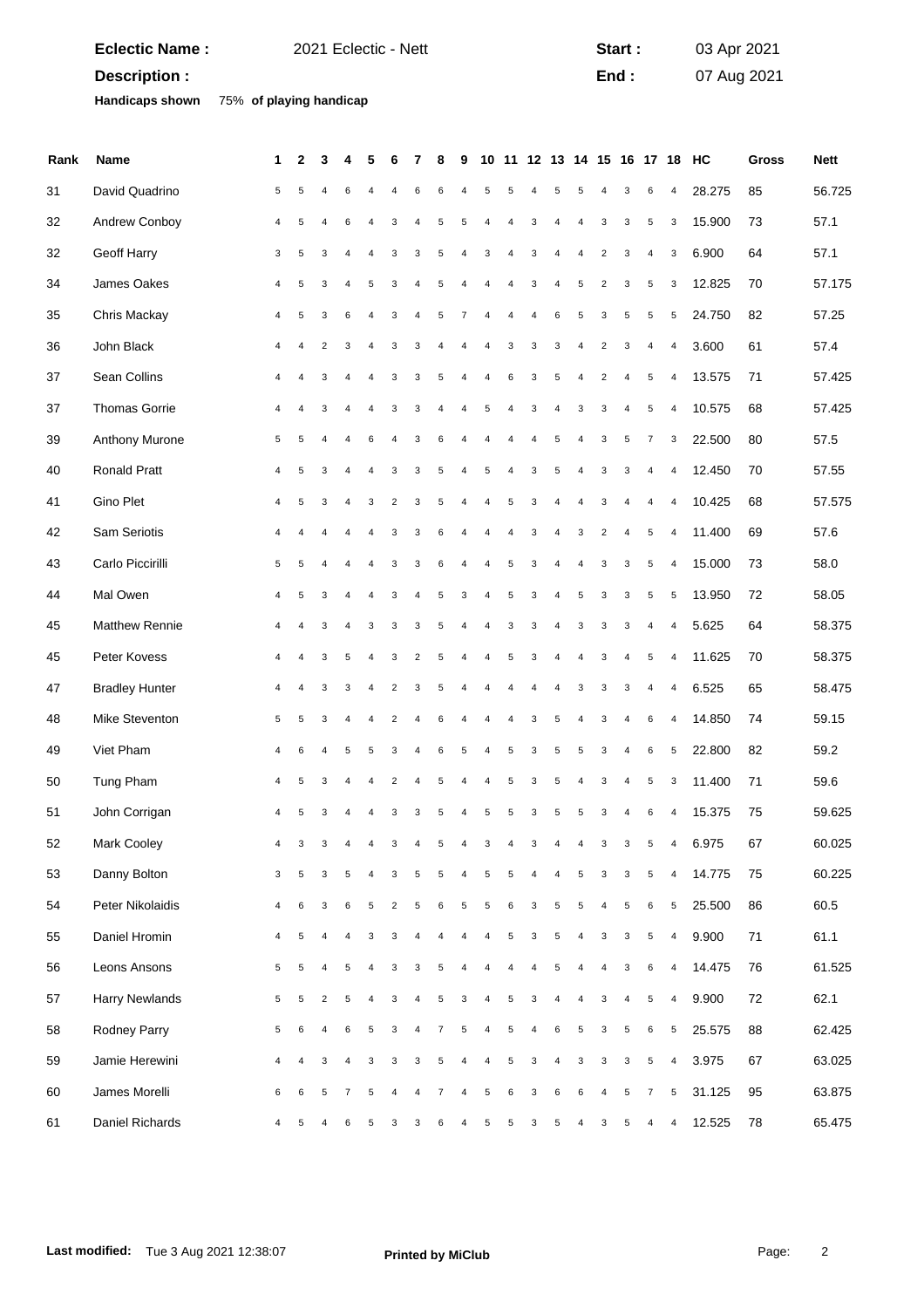|      | <b>Eclectic Name:</b>  | 2021 Eclectic - Nett |                |                         |                |                |                |                         |                |   |                |                |                |                |            | Start:         |                         |                | 03 Apr 2021    |                         |                               |              |             |
|------|------------------------|----------------------|----------------|-------------------------|----------------|----------------|----------------|-------------------------|----------------|---|----------------|----------------|----------------|----------------|------------|----------------|-------------------------|----------------|----------------|-------------------------|-------------------------------|--------------|-------------|
|      | Description :          |                      |                |                         |                |                |                |                         |                |   |                |                |                |                |            |                | End:                    |                |                |                         | 07 Aug 2021                   |              |             |
|      | <b>Handicaps shown</b> |                      |                | 75% of playing handicap |                |                |                |                         |                |   |                |                |                |                |            |                |                         |                |                |                         |                               |              |             |
|      |                        |                      |                |                         |                |                |                |                         |                |   |                |                |                |                |            |                |                         |                |                |                         |                               |              |             |
| Rank | Name                   |                      | 1              | $\mathbf{2}$            | 3              |                |                |                         |                | 8 | 9              |                |                |                |            |                |                         |                |                |                         | 10 11 12 13 14 15 16 17 18 HC | <b>Gross</b> | <b>Nett</b> |
| 31   | David Quadrino         |                      | 5              | 5                       | $\overline{4}$ | 6              |                |                         | 6              | 6 | 4              | 5              | 5              | 4              | 5          | 5              | 4                       | 3              | 6              | $\overline{4}$          | 28.275                        | 85           | 56.725      |
| 32   | Andrew Conboy          |                      | 4              | 5                       | $\overline{4}$ | 6              | 4              | 3                       | $\overline{4}$ | 5 | 5              | $\sqrt{4}$     | $\overline{4}$ | 3              | 4          | $\overline{4}$ | 3                       | 3              | 5              | 3                       | 15.900                        | 73           | 57.1        |
| 32   | Geoff Harry            |                      | 3              | 5                       | 3              | 4              | 4              | 3                       | 3              | 5 | 4              | 3              | 4              | 3              | 4          | 4              | $\overline{\mathbf{c}}$ | 3              | $\overline{4}$ | 3                       | 6.900                         | 64           | 57.1        |
| 34   | James Oakes            |                      | 4              | 5                       | 3              | 4              | 5              | 3                       |                | 5 | 4              | $\overline{4}$ | $\overline{4}$ | 3              | 4          | 5              | $\overline{c}$          | 3              | $\,$ 5 $\,$    | 3                       | 12.825                        | 70           | 57.175      |
| 35   | Chris Mackay           |                      | 4              | 5                       | 3              | 6              | 4              | 3                       | $\overline{4}$ | 5 | 7              | $\overline{4}$ | $\overline{4}$ | $\overline{4}$ | 6          | 5              | 3                       | 5              | 5              | 5                       | 24.750                        | 82           | 57.25       |
| 36   | John Black             |                      | 4              | 4                       | $\overline{c}$ | 3              | 4              | 3                       | 3              | 4 | 4              | 4              | 3              | 3              | 3          | 4              | $\overline{\mathbf{c}}$ | 3              | $\overline{4}$ | $\overline{4}$          | 3.600                         | 61           | 57.4        |
| 37   | Sean Collins           |                      | 4              | 4                       | 3              | 4              | 4              | 3                       | 3              | 5 | 4              | $\sqrt{4}$     | 6              | 3              | 5          | 4              | $\overline{\mathbf{c}}$ | 4              | $\sqrt{5}$     | $\overline{\mathbf{4}}$ | 13.575                        | 71           | 57.425      |
| 37   | <b>Thomas Gorrie</b>   |                      | 4              | $\overline{4}$          | 3              | 4              | $\overline{4}$ | 3                       | 3              |   | $\sqrt{4}$     | 5              | $\overline{4}$ | $\mathsf 3$    | $\sqrt{4}$ | 3              | 3                       | 4              | $\sqrt{5}$     | $\overline{4}$          | 10.575                        | 68           | 57.425      |
| 39   | Anthony Murone         |                      | 5              | 5                       | 4              | 4              | 6              | 4                       | 3              | 6 | 4              | 4              | $\overline{4}$ | 4              | 5          | 4              | 3                       | 5              | $\overline{7}$ | 3                       | 22.500                        | 80           | 57.5        |
| 40   | Ronald Pratt           |                      | 4              | 5                       | 3              | 4              | 4              | 3                       | 3              | 5 | $\overline{4}$ | 5              | $\overline{4}$ | 3              | 5          | 4              | 3                       | 3              | $\pmb{4}$      | $\overline{\mathbf{4}}$ | 12.450                        | 70           | 57.55       |
| 41   | Gino Plet              |                      | 4              | 5                       | 3              | 4              | 3              | $\overline{c}$          | 3              | 5 | 4              | $\sqrt{4}$     | 5              | 3              | 4          | $\overline{4}$ | 3                       |                | $\overline{4}$ | $\overline{4}$          | 10.425                        | 68           | 57.575      |
| 42   | Sam Seriotis           |                      | 4              |                         | 4              | 4              | 4              | 3                       | 3              | 6 | 4              | 4              | $\overline{4}$ | 3              | 4          | 3              | $\overline{\mathbf{c}}$ | $\overline{4}$ | $\,$ 5 $\,$    | 4                       | 11.400                        | 69           | 57.6        |
| 43   | Carlo Piccirilli       |                      | 5              | 5                       | $\overline{4}$ | 4              | 4              | 3                       | 3              | 6 | $\overline{4}$ | $\sqrt{4}$     | 5              | 3              | 4          | $\sqrt{4}$     | 3                       | 3              | $\sqrt{5}$     | $\overline{\mathbf{4}}$ | 15.000                        | 73           | 58.0        |
| 44   | Mal Owen               |                      | 4              | 5                       | 3              | 4              | 4              | 3                       | $\overline{4}$ | 5 | 3              | $\sqrt{4}$     | 5              | 3              | $\sqrt{4}$ | 5              | 3                       | 3              | 5              | 5                       | 13.950                        | 72           | 58.05       |
| 45   | <b>Matthew Rennie</b>  |                      | 4              | 4                       | 3              | 4              | 3              | 3                       | 3              | 5 | 4              | 4              | 3              | 3              | 4          | 3              | 3                       | 3              | $\overline{4}$ | $\overline{4}$          | 5.625                         | 64           | 58.375      |
| 45   | Peter Kovess           |                      | 4              | 4                       | 3              | 5              | 4              | 3                       | $\overline{2}$ | 5 | 4              | $\sqrt{4}$     | 5              | 3              | 4          | $\overline{4}$ | 3                       | 4              | $\sqrt{5}$     | $\overline{\mathbf{4}}$ | 11.625                        | 70           | 58.375      |
| 47   | <b>Bradley Hunter</b>  |                      | 4              | 4                       | 3              | 3              | 4              | $\overline{2}$          | 3              | 5 | $\overline{4}$ | $\overline{4}$ | $\overline{4}$ | 4              | 4          | 3              | 3                       | 3              | $\overline{4}$ | $\overline{4}$          | 6.525                         | 65           | 58.475      |
| 48   | Mike Steventon         |                      | 5              | 5                       | 3              | 4              |                | 2                       |                | 6 |                |                |                | 3              | 5          |                | 3                       | 4              | 6              | $\overline{4}$          | 14.850                        | 74           | 59.15       |
| 49   | Viet Pham              |                      | 4              | 6                       |                | 5              | 5              | 3                       |                | 6 | 5              |                | 5              | 3              | 5          | 5              | 3                       |                | 6              | 5                       | 22.800                        | 82           | 59.2        |
| 50   | Tung Pham              |                      | 4              | 5                       | 3              | 4              | 4              | $\overline{c}$          | $\overline{4}$ | 5 | $\overline{4}$ | 4              | $\sqrt{5}$     | $\mathsf 3$    | 5          | $\overline{4}$ | 3                       | $\overline{4}$ | $\sqrt{5}$     | 3                       | 11.400                        | 71           | 59.6        |
| 51   | John Corrigan          |                      | $\overline{4}$ | 5                       | 3              | 4              | 4              | 3                       | 3              | 5 | 4              | 5              | $\,$ 5 $\,$    | 3              | $\sqrt{5}$ | 5              | 3                       | 4              | $\,6$          | $\overline{\mathbf{4}}$ | 15.375                        | 75           | 59.625      |
| 52   | Mark Cooley            |                      | 4              | 3                       | 3              | 4              | 4              | 3                       | $\overline{4}$ | 5 | $\overline{4}$ | 3              | $\overline{4}$ | 3              | 4          | $\overline{4}$ | 3                       | 3              | 5              | $\overline{4}$          | 6.975                         | 67           | 60.025      |
| 53   | Danny Bolton           |                      | 3              | 5                       | 3              | 5              | $\sqrt{4}$     | 3                       | 5              | 5 | 4              | 5              | $\sqrt{5}$     | $\sqrt{4}$     | $\sqrt{4}$ | 5              | 3                       | 3              | $\sqrt{5}$     | $\overline{\mathbf{4}}$ | 14.775                        | 75           | 60.225      |
| 54   | Peter Nikolaidis       |                      | 4              | $\,6$                   | 3              | 6              | 5              | $\overline{\mathbf{c}}$ | 5              | 6 | 5              | 5              | $\,6\,$        | 3              | $\sqrt{5}$ | 5              | 4                       | 5              | $\,6\,$        | $\,$ 5 $\,$             | 25.500                        | 86           | 60.5        |
| 55   | Daniel Hromin          |                      | 4              | 5                       | 4              | 4              | 3              | 3                       | $\overline{4}$ | 4 | $\overline{4}$ | $\sqrt{4}$     | 5              | 3              | 5          | 4              | 3                       | 3              | 5              | $\overline{4}$          | 9.900                         | 71           | 61.1        |
| 56   | Leons Ansons           |                      | 5              | 5                       | 4              | 5              | $\overline{4}$ | 3                       | 3              | 5 | $\overline{4}$ | 4              | 4              | $\overline{4}$ | 5          | $\overline{4}$ | 4                       | 3              | $\,6\,$        | $\overline{\mathbf{4}}$ | 14.475                        | 76           | 61.525      |
| 57   | Harry Newlands         |                      | 5              | 5                       | $\sqrt{2}$     | 5              | 4              | 3                       | $\overline{4}$ | 5 | 3              | 4              | $\sqrt{5}$     | 3              | 4          | 4              | 3                       | 4              | 5              | $\overline{\mathbf{4}}$ | 9.900                         | 72           | 62.1        |
| 58   | Rodney Parry           |                      | 5              | 6                       | $\overline{4}$ | 6              | 5              | 3                       | $\overline{4}$ | 7 | 5              | 4              | 5              | $\overline{4}$ | 6          | 5              | 3                       | 5              | 6              | 5                       | 25.575                        | 88           | 62.425      |
| 59   | Jamie Herewini         |                      | 4              | 4                       | 3              | 4              | 3              | 3                       | 3              | 5 | $\overline{4}$ | $\sqrt{4}$     | $\sqrt{5}$     | $\mathsf 3$    | $\sqrt{4}$ | 3              | 3                       | 3              | 5              | $\pmb{4}$               | 3.975                         | 67           | 63.025      |
| 60   | James Morelli          |                      | 6              | 6                       | $\sqrt{5}$     | $\overline{7}$ | 5              | 4                       | $\overline{4}$ | 7 | 4              | 5              | $\,6\,$        | 3              | 6          | 6              | 4                       | 5              | $\overline{7}$ | $\,$ 5 $\,$             | 31.125                        | 95           | 63.875      |
| 61   | Daniel Richards        |                      | 4              | 5                       | $\overline{4}$ | 6              | 5              | 3                       | 3              | 6 | 4              | 5              | 5              | 3              | 5          | 4              | 3                       | 5              | 4              | $\overline{4}$          | 12.525                        | 78           | 65.475      |